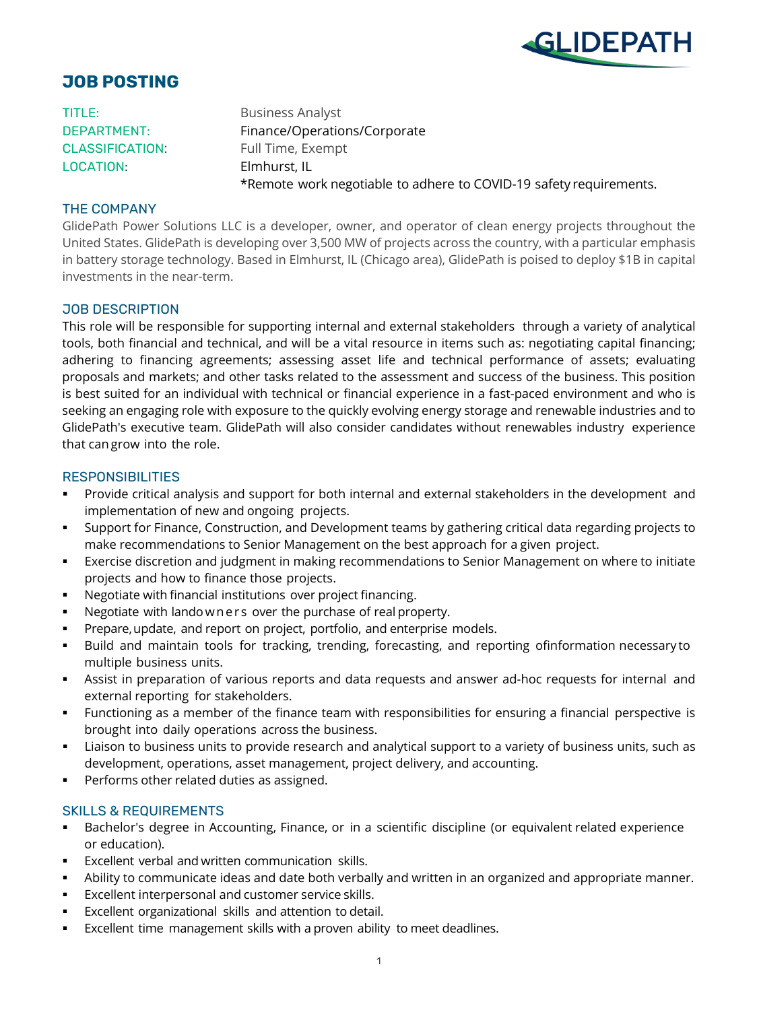

# **JOB POSTING**

TITLE: Business Analyst LOCATION: Elmhurst, IL

DEPARTMENT: Finance/Operations/Corporate CLASSIFICATION: Full Time, Exempt \*Remote work negotiable to adhere to COVID-19 safety requirements.

## THE COMPANY

GlidePath Power Solutions LLC is a developer, owner, and operator of clean energy projects throughout the United States. GlidePath is developing over 3,500 MW of projects across the country, with a particular emphasis in battery storage technology. Based in Elmhurst, IL (Chicago area), GlidePath is poised to deploy \$1B in capital investments in the near-term.

## JOB DESCRIPTION

This role will be responsible for supporting internal and external stakeholders through a variety of analytical tools, both financial and technical, and will be a vital resource in items such as: negotiating capital financing; adhering to financing agreements; assessing asset life and technical performance of assets; evaluating proposals and markets; and other tasks related to the assessment and success of the business. This position is best suited for an individual with technical or financial experience in a fast-paced environment and who is seeking an engaging role with exposure to the quickly evolving energy storage and renewable industries and to GlidePath's executive team. GlidePath will also consider candidates without renewables industry experience that cangrow into the role.

## **RESPONSIBILITIES**

- Provide critical analysis and support for both internal and external stakeholders in the development and implementation of new and ongoing projects.
- Support for Finance, Construction, and Development teams by gathering critical data regarding projects to make recommendations to Senior Management on the best approach for a given project.
- Exercise discretion and judgment in making recommendations to Senior Management on where to initiate projects and how to finance those projects.
- Negotiate with financial institutions over project financing.
- Negotiate with landowners over the purchase of real property.
- Prepare,update, and report on project, portfolio, and enterprise models.
- Build and maintain tools for tracking, trending, forecasting, and reporting ofinformation necessary to multiple business units.
- Assist in preparation of various reports and data requests and answer ad-hoc requests for internal and external reporting for stakeholders.
- Functioning as a member of the finance team with responsibilities for ensuring a financial perspective is brought into daily operations across the business.
- Liaison to business units to provide research and analytical support to a variety of business units, such as development, operations, asset management, project delivery, and accounting.
- Performs other related duties as assigned.

## SKILLS & REQUIREMENTS

- Bachelor's degree in Accounting, Finance, or in a scientific discipline (or equivalent related experience or education).
- **Excellent verbal and written communication skills.**
- Ability to communicate ideas and date both verbally and written in an organized and appropriate manner.
- Excellent interpersonal and customer service skills.
- Excellent organizational skills and attention to detail.
- Excellent time management skills with a proven ability to meet deadlines.